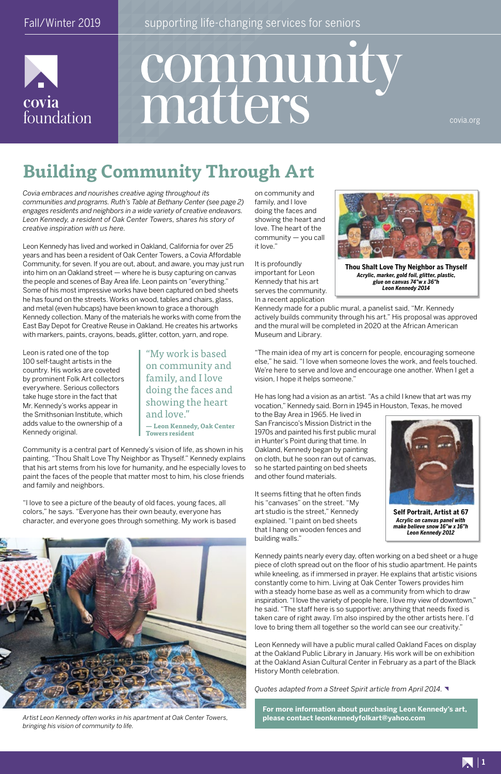covia

foundation



Fall/Winter 2019 **Fall/Winter 2019** supporting life-changing services for seniors

# community matters

# **Building Community Through Art**

*Covia embraces and nourishes creative aging throughout its communities and programs. Ruth's Table at Bethany Center (see page 2) engages residents and neighbors in a wide variety of creative endeavors. Leon Kennedy, a resident of Oak Center Towers, shares his story of creative inspiration with us here.*

Leon Kennedy has lived and worked in Oakland, California for over 25 years and has been a resident of Oak Center Towers, a Covia Affordable Community, for seven. If you are out, about, and aware, you may just run into him on an Oakland street — where he is busy capturing on canvas the people and scenes of Bay Area life. Leon paints on "everything." Some of his most impressive works have been captured on bed sheets he has found on the streets. Works on wood, tables and chairs, glass, and metal (even hubcaps) have been known to grace a thorough Kennedy collection. Many of the materials he works with come from the East Bay Depot for Creative Reuse in Oakland. He creates his artworks with markers, paints, crayons, beads, glitter, cotton, yarn, and rope.

Leon is rated one of the top 100 self-taught artists in the country. His works are coveted by prominent Folk Art collectors everywhere. Serious collectors take huge store in the fact that Mr. Kennedy's works appear in the Smithsonian Institute, which adds value to the ownership of a Kennedy original.

Community is a central part of Kennedy's vision of life, as shown in his painting, "Thou Shalt Love Thy Neighbor as Thyself." Kennedy explains that his art stems from his love for humanity, and he especially loves to paint the faces of the people that matter most to him, his close friends and family and neighbors.

"I love to see a picture of the beauty of old faces, young faces, all colors," he says. "Everyone has their own beauty, everyone has character, and everyone goes through something. My work is based



on community and family, and I love doing the faces and showing the heart and love. The heart of the community — you call it love."

It is profoundly important for Leon Kennedy that his art serves the community. In a recent application

Kennedy made for a public mural, a panelist said, "Mr. Kennedy actively builds community through his art." His proposal was approved and the mural will be completed in 2020 at the African American Museum and Library.

"The main idea of my art is concern for people, encouraging someone else," he said. "I love when someone loves the work, and feels touched. We're here to serve and love and encourage one another. When I get a vision, I hope it helps someone."

He has long had a vision as an artist. "As a child I knew that art was my vocation," Kennedy said. Born in 1945 in Houston, Texas, he moved

to the Bay Area in 1965. He lived in San Francisco's Mission District in the 1970s and painted his first public mural in Hunter's Point during that time. In Oakland, Kennedy began by painting on cloth, but he soon ran out of canvas, so he started painting on bed sheets and other found materials.

It seems fitting that he often finds his "canvases" on the street. "My art studio is the street," Kennedy explained. "I paint on bed sheets that I hang on wooden fences and building walls."

Kennedy paints nearly every day, often working on a bed sheet or a huge piece of cloth spread out on the floor of his studio apartment. He paints

while kneeling, as if immersed in prayer. He explains that artistic visions constantly come to him. Living at Oak Center Towers provides him with a steady home base as well as a community from which to draw inspiration. "I love the variety of people here, I love my view of downtown," he said. "The staff here is so supportive; anything that needs fixed is taken care of right away. I'm also inspired by the other artists here. I'd love to bring them all together so the world can see our creativity."

Leon Kennedy will have a public mural called Oakland Faces on display at the Oakland Public Library in January. His work will be on exhibition at the Oakland Asian Cultural Center in February as a part of the Black History Month celebration.

*Quotes adapted from a Street Spirit article from April 2014.*

covia.org



**Thou Shalt Love Thy Neighbor as Thyself** *Acrylic, marker, gold foil, glitter, plastic, glue on canvas 74"w x 36"h Leon Kennedy 2014*



**Self Portrait, Artist at 67** *Acrylic on canvas panel with make believe snow 16"w x 16"h Leon Kennedy 2012*

*Artist Leon Kennedy often works in his apartment at Oak Center Towers, bringing his vision of community to life.*

"My work is based on community and family, and I love doing the faces and showing the heart and love."

**— Leon Kennedy, Oak Center Towers resident**

> **For more information about purchasing Leon Kennedy's art, please contact leonkennedyfolkart@yahoo.com**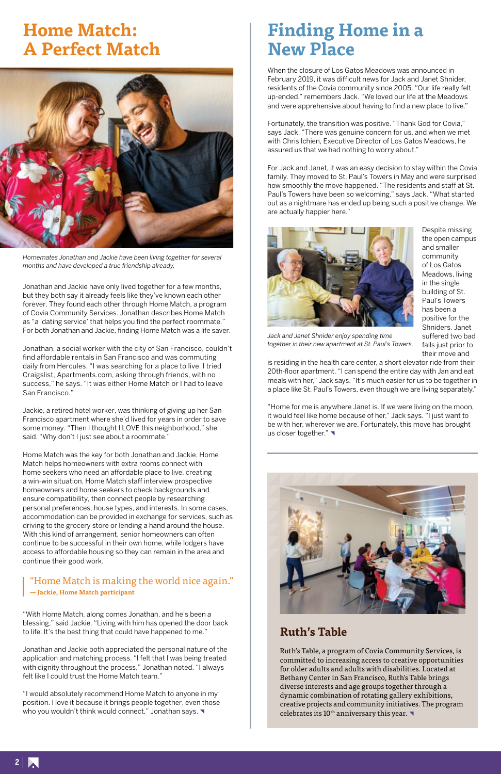

Jonathan and Jackie have only lived together for a few months, but they both say it already feels like they've known each other forever. They found each other through Home Match, a program of Covia Community Services. Jonathan describes Home Match as "a 'dating service' that helps you find the perfect roommate." For both Jonathan and Jackie, finding Home Match was a life saver.

Jonathan, a social worker with the city of San Francisco, couldn't find affordable rentals in San Francisco and was commuting daily from Hercules. "I was searching for a place to live. I tried Craigslist, Apartments.com, asking through friends, with no success," he says. "It was either Home Match or I had to leave San Francisco."

Jackie, a retired hotel worker, was thinking of giving up her San Francisco apartment where she'd lived for years in order to save some money. "Then I thought I LOVE this neighborhood," she said. "Why don't I just see about a roommate."

"I would absolutely recommend Home Match to anyone in my position. I love it because it brings people together, even those who you wouldn't think would connect," Jonathan says.

Home Match was the key for both Jonathan and Jackie. Home Match helps homeowners with extra rooms connect with home seekers who need an affordable place to live, creating a win-win situation. Home Match staff interview prospective homeowners and home seekers to check backgrounds and ensure compatibility, then connect people by researching personal preferences, house types, and interests. In some cases, accommodation can be provided in exchange for services, such as driving to the grocery store or lending a hand around the house. With this kind of arrangement, senior homeowners can often continue to be successful in their own home, while lodgers have access to affordable housing so they can remain in the area and continue their good work.

"With Home Match, along comes Jonathan, and he's been a blessing," said Jackie. "Living with him has opened the door back to life. It's the best thing that could have happened to me."

"Home for me is anywhere Janet is. If we were living on the moon, it would feel like home because of her," Jack says. "I just want to be with her, wherever we are. Fortunately, this move has brought us closer together."



Jonathan and Jackie both appreciated the personal nature of the application and matching process. "I felt that I was being treated with dignity throughout the process," Jonathan noted. "I always felt like I could trust the Home Match team."

Ruth's Table, a program of Covia Community Services, is committed to increasing access to creative opportunities for older adults and adults with disabilities. Located at Bethany Center in San Francisco, Ruth's Table brings diverse interests and age groups together through a dynamic combination of rotating gallery exhibitions, creative projects and community initiatives. The program celebrates its  $10^{th}$  anniversary this year.

### "Home Match is making the world nice again." **— Jackie, Home Match participant**

# **Finding Home in a New Place**

When the closure of Los Gatos Meadows was announced in February 2019, it was difficult news for Jack and Janet Shnider, residents of the Covia community since 2005. "Our life really felt up-ended," remembers Jack. "We loved our life at the Meadows and were apprehensive about having to find a new place to live."

Fortunately, the transition was positive. "Thank God for Covia," says Jack. "There was genuine concern for us, and when we met with Chris Ichien, Executive Director of Los Gatos Meadows, he assured us that we had nothing to worry about."

For Jack and Janet, it was an easy decision to stay within the Covia family. They moved to St. Paul's Towers in May and were surprised how smoothly the move happened. "The residents and staff at St. Paul's Towers have been so welcoming," says Jack. "What started out as a nightmare has ended up being such a positive change. We are actually happier here."



Despite missing the open campus and smaller community of Los Gatos Meadows, living in the single building of St. Paul's Towers has been a positive for the Shniders. Janet suffered two bad falls just prior to their move and

is residing in the health care center, a short elevator ride from their 20th-floor apartment. "I can spend the entire day with Jan and eat meals with her," Jack says. "It's much easier for us to be together in a place like St. Paul's Towers, even though we are living separately."

*Jack and Janet Shnider enjoy spending time together in their new apartment at St. Paul's Towers.*

### **Ruth's Table**



*Homemates Jonathan and Jackie have been living together for several months and have developed a true friendship already.*

# **Home Match: A Perfect Match**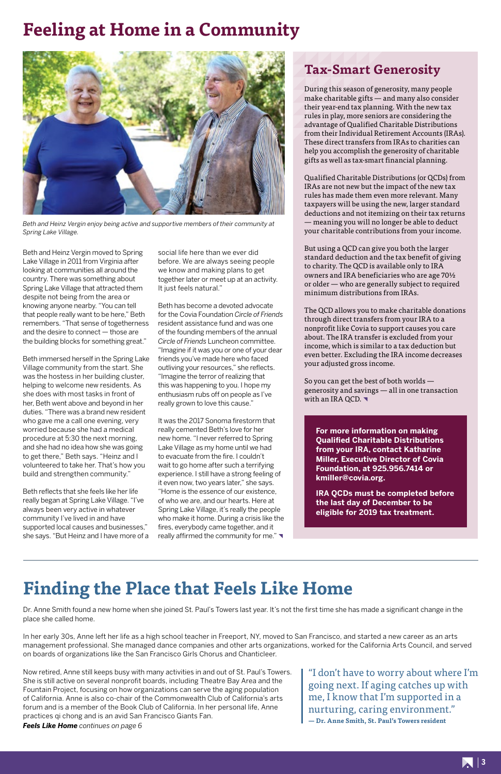

Beth and Heinz Vergin moved to Spring Lake Village in 2011 from Virginia after looking at communities all around the country. There was something about Spring Lake Village that attracted them despite not being from the area or knowing anyone nearby. "You can tell that people really want to be here," Beth remembers. "That sense of togetherness and the desire to connect — those are the building blocks for something great."

Beth immersed herself in the Spring Lake Village community from the start. She was the hostess in her building cluster, helping to welcome new residents. As she does with most tasks in front of her, Beth went above and beyond in her duties. "There was a brand new resident who gave me a call one evening, very worried because she had a medical procedure at 5:30 the next morning, and she had no idea how she was going to get there," Beth says. "Heinz and I volunteered to take her. That's how you build and strengthen community."

It was the 2017 Sonoma firestorm that really cemented Beth's love for her new home. "I never referred to Spring Lake Village as my home until we had to evacuate from the fire. I couldn't wait to go home after such a terrifying experience. I still have a strong feeling of it even now, two years later," she says. "Home is the essence of our existence, of who we are, and our hearts. Here at Spring Lake Village, it's really the people who make it home. During a crisis like the fires, everybody came together, and it really affirmed the community for me." $\blacktriangledown$ 

Beth reflects that she feels like her life really began at Spring Lake Village. "I've always been very active in whatever community I've lived in and have supported local causes and businesses," she says. "But Heinz and I have more of a social life here than we ever did before. We are always seeing people we know and making plans to get together later or meet up at an activity. It just feels natural."

Beth has become a devoted advocate for the Covia Foundation *Circle of Friends* resident assistance fund and was one of the founding members of the annual *Circle of Friends* Luncheon committee. "Imagine if it was you or one of your dear friends you've made here who faced outliving your resources," she reflects. "Imagine the terror of realizing that this was happening to you. I hope my enthusiasm rubs off on people as I've really grown to love this cause."

So you can get the best of both worlds generosity and savings — all in one transaction with an IRA QCD.

# **Feeling at Home in a Community**

### **Tax-Smart Generosity**

During this season of generosity, many people make charitable gifts — and many also consider their year-end tax planning. With the new tax rules in play, more seniors are considering the advantage of Qualified Charitable Distributions from their Individual Retirement Accounts (IRAs). These direct transfers from IRAs to charities can help you accomplish the generosity of charitable gifts as well as tax-smart financial planning.

Qualified Charitable Distributions (or QCDs) from IRAs are not new but the impact of the new tax rules has made them even more relevant. Many taxpayers will be using the new, larger standard deductions and not itemizing on their tax returns — meaning you will no longer be able to deduct your charitable contributions from your income.

But using a QCD can give you both the larger standard deduction and the tax benefit of giving to charity. The QCD is available only to IRA owners and IRA beneficiaries who are age 70½ or older — who are generally subject to required minimum distributions from IRAs.

The QCD allows you to make charitable donations through direct transfers from your IRA to a nonprofit like Covia to support causes you care about. The IRA transfer is excluded from your income, which is similar to a tax deduction but even better. Excluding the IRA income decreases your adjusted gross income.

# **Finding the Place that Feels Like Home**

Dr. Anne Smith found a new home when she joined St. Paul's Towers last year. It's not the first time she has made a significant change in the place she called home.

In her early 30s, Anne left her life as a high school teacher in Freeport, NY, moved to San Francisco, and started a new career as an arts management professional. She managed dance companies and other arts organizations, worked for the California Arts Council, and served on boards of organizations like the San Francisco Girls Chorus and Chanticleer.

Now retired, Anne still keeps busy with many activities in and out of St. Paul's Towers. She is still active on several nonprofit boards, including Theatre Bay Area and the Fountain Project, focusing on how organizations can serve the aging population of California. Anne is also co-chair of the Commonwealth Club of California's arts forum and is a member of the Book Club of California. In her personal life, Anne practices qi chong and is an avid San Francisco Giants Fan. *Feels Like Home continues on page 6*



*Beth and Heinz Vergin enjoy being active and supportive members of their community at Spring Lake Village.*

**For more information on making Qualified Charitable Distributions from your IRA, contact Katharine Miller, Executive Director of Covia Foundation, at 925.956.7414 or kmiller@covia.org.** 

**IRA QCDs must be completed before the last day of December to be eligible for 2019 tax treatment.**

"I don't have to worry about where I'm going next. If aging catches up with me, I know that I'm supported in a nurturing, caring environment." **— Dr. Anne Smith, St. Paul's Towers resident**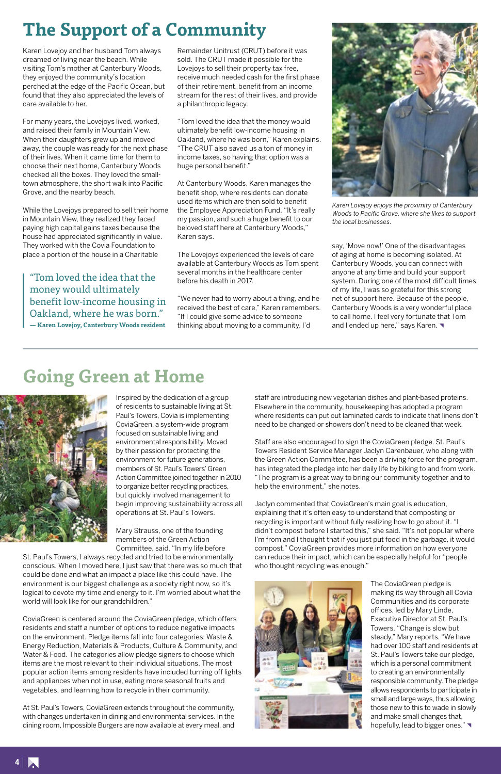

# **Going Green at Home**



Inspired by the dedication of a group of residents to sustainable living at St. Paul's Towers, Covia is implementing CoviaGreen, a system-wide program focused on sustainable living and environmental responsibility. Moved by their passion for protecting the environment for future generations, members of St. Paul's Towers' Green Action Committee joined together in 2010 to organize better recycling practices, but quickly involved management to begin improving sustainability across all operations at St. Paul's Towers.

Mary Strauss, one of the founding members of the Green Action Committee, said, "In my life before

St. Paul's Towers, I always recycled and tried to be environmentally conscious. When I moved here, I just saw that there was so much that could be done and what an impact a place like this could have. The environment is our biggest challenge as a society right now, so it's logical to devote my time and energy to it. I'm worried about what the world will look like for our grandchildren."

CoviaGreen is centered around the CoviaGreen pledge, which offers residents and staff a number of options to reduce negative impacts on the environment. Pledge items fall into four categories: Waste & Energy Reduction, Materials & Products, Culture & Community, and Water & Food. The categories allow pledge signers to choose which items are the most relevant to their individual situations. The most popular action items among residents have included turning off lights and appliances when not in use, eating more seasonal fruits and vegetables, and learning how to recycle in their community.

The CoviaGreen pledge is making its way through all Covia Communities and its corporate offices, led by Mary Linde, Executive Director at St. Paul's Towers. "Change is slow but steady," Mary reports. "We have had over 100 staff and residents at St. Paul's Towers take our pledge, which is a personal commitment to creating an environmentally responsible community. The pledge allows respondents to participate in small and large ways, thus allowing those new to this to wade in slowly and make small changes that, hopefully, lead to bigger ones."

At St. Paul's Towers, CoviaGreen extends throughout the community, with changes undertaken in dining and environmental services. In the dining room, Impossible Burgers are now available at every meal, and



staff are introducing new vegetarian dishes and plant-based proteins. Elsewhere in the community, housekeeping has adopted a program where residents can put out laminated cards to indicate that linens don't need to be changed or showers don't need to be cleaned that week.

Staff are also encouraged to sign the CoviaGreen pledge. St. Paul's Towers Resident Service Manager Jaclyn Carenbauer, who along with the Green Action Committee, has been a driving force for the program, has integrated the pledge into her daily life by biking to and from work. "The program is a great way to bring our community together and to help the environment," she notes.

Jaclyn commented that CoviaGreen's main goal is education, explaining that it's often easy to understand that composting or recycling is important without fully realizing how to go about it. "I didn't compost before I started this," she said. "It's not popular where I'm from and I thought that if you just put food in the garbage, it would compost." CoviaGreen provides more information on how everyone can reduce their impact, which can be especially helpful for "people who thought recycling was enough."

say, 'Move now!' One of the disadvantages of aging at home is becoming isolated. At Canterbury Woods, you can connect with anyone at any time and build your support system. During one of the most difficult times of my life, I was so grateful for this strong net of support here. Because of the people, Canterbury Woods is a very wonderful place to call home. I feel very fortunate that Tom and I ended up here," says Karen.

# **The Support of a Community**

Karen Lovejoy and her husband Tom always dreamed of living near the beach. While visiting Tom's mother at Canterbury Woods, they enjoyed the community's location perched at the edge of the Pacific Ocean, but found that they also appreciated the levels of care available to her.

For many years, the Lovejoys lived, worked, and raised their family in Mountain View. When their daughters grew up and moved away, the couple was ready for the next phase of their lives. When it came time for them to choose their next home, Canterbury Woods checked all the boxes. They loved the smalltown atmosphere, the short walk into Pacific Grove, and the nearby beach.

While the Lovejoys prepared to sell their home in Mountain View, they realized they faced paying high capital gains taxes because the house had appreciated significantly in value. They worked with the Covia Foundation to place a portion of the house in a Charitable

Remainder Unitrust (CRUT) before it was sold. The CRUT made it possible for the Lovejoys to sell their property tax free, receive much needed cash for the first phase of their retirement, benefit from an income stream for the rest of their lives, and provide a philanthropic legacy.

"Tom loved the idea that the money would ultimately benefit low-income housing in Oakland, where he was born," Karen explains. "The CRUT also saved us a ton of money in income taxes, so having that option was a huge personal benefit."

At Canterbury Woods, Karen manages the benefit shop, where residents can donate used items which are then sold to benefit the Employee Appreciation Fund. "It's really my passion, and such a huge benefit to our beloved staff here at Canterbury Woods," Karen says.

The Lovejoys experienced the levels of care available at Canterbury Woods as Tom spent several months in the healthcare center before his death in 2017.

"We never had to worry about a thing, and he received the best of care," Karen remembers. "If I could give some advice to someone thinking about moving to a community, I'd

"Tom loved the idea that the money would ultimately benefit low-income housing in Oakland, where he was born." **— Karen Lovejoy, Canterbury Woods resident**



*Karen Lovejoy enjoys the proximity of Canterbury Woods to Pacific Grove, where she likes to support the local businesses.*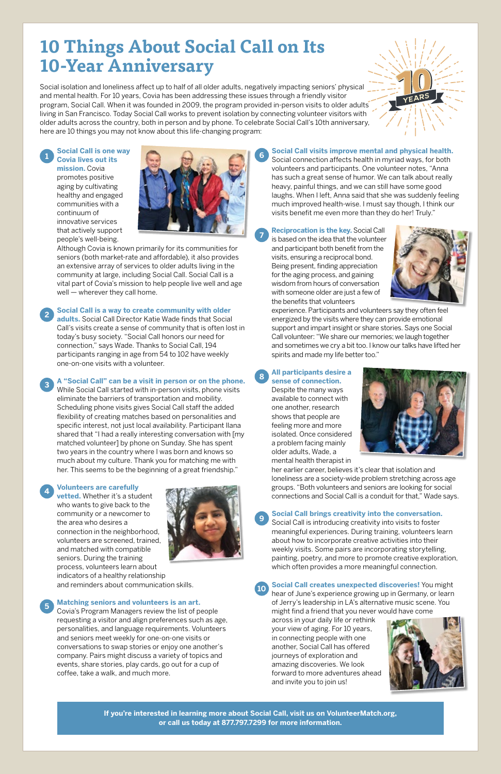**If you're interested in learning more about Social Call, visit us on VolunteerMatch.org, or call us today at 877.797.7299 for more information.**

**<sup>1</sup> Social Call is one way Covia lives out its** 

> Although Covia is known primarily for its communities for seniors (both market-rate and affordable), it also provides an extensive array of services to older adults living in the community at large, including Social Call. Social Call is a vital part of Covia's mission to help people live well and age well — wherever they call home.

**mission.** Covia promotes positive aging by cultivating healthy and engaged communities with a continuum of innovative services that actively support people's well-being.



**<sup>2</sup> Social Call is a way to create community with older adults.** Social Call Director Katie Wade finds that Social Call's visits create a sense of community that is often lost in today's busy society. "Social Call honors our need for connection," says Wade. Thanks to Social Call, 194 participants ranging in age from 54 to 102 have weekly one-on-one visits with a volunteer.

**<sup>3</sup> A "Social Call" can be a visit in person or on the phone.** While Social Call started with in-person visits, phone visits eliminate the barriers of transportation and mobility. Scheduling phone visits gives Social Call staff the added flexibility of creating matches based on personalities and specific interest, not just local availability. Participant Ilana shared that "I had a really interesting conversation with [my matched volunteer] by phone on Sunday. She has spent two years in the country where I was born and knows so much about my culture. Thank you for matching me with her. This seems to be the beginning of a great friendship."

### **<sup>4</sup> Volunteers are carefully**

**vetted.** Whether it's a student who wants to give back to the community or a newcomer to the area who desires a connection in the neighborhood, volunteers are screened, trained, and matched with compatible seniors. During the training process, volunteers learn about indicators of a healthy relationship and reminders about communication skills.



### **<sup>5</sup> Matching seniors and volunteers is an art.**

Covia's Program Managers review the list of people requesting a visitor and align preferences such as age, personalities, and language requirements. Volunteers and seniors meet weekly for one-on-one visits or conversations to swap stories or enjoy one another's company. Pairs might discuss a variety of topics and events, share stories, play cards, go out for a cup of coffee, take a walk, and much more.

**<sup>6</sup> Social Call visits improve mental and physical health.** Social connection affects health in myriad ways, for both volunteers and participants. One volunteer notes, "Anna has such a great sense of humor. We can talk about really heavy, painful things, and we can still have some good laughs. When I left, Anna said that she was suddenly feeling much improved health-wise. I must say though, I think our

visits benefit me even more than they do her! Truly."

**<sup>7</sup> Reciprocation is the key.** Social Call is based on the idea that the volunteer and participant both benefit from the visits, ensuring a reciprocal bond. Being present, finding appreciation for the aging process, and gaining wisdom from hours of conversation with someone older are just a few of the benefits that volunteers



experience. Participants and volunteers say they often feel energized by the visits where they can provide emotional support and impart insight or share stories. Says one Social Call volunteer: "We share our memories; we laugh together and sometimes we cry a bit too. I know our talks have lifted her spirits and made my life better too."

### **<sup>8</sup> All participants desire a sense of connection.**

Despite the many ways available to connect with one another, research shows that people are feeling more and more isolated. Once considered a problem facing mainly older adults, Wade, a mental health therapist in



her earlier career, believes it's clear that isolation and loneliness are a society-wide problem stretching across age groups. "Both volunteers and seniors are looking for social connections and Social Call is a conduit for that," Wade says.

### **<sup>9</sup> Social Call brings creativity into the conversation.**

Social Call is introducing creativity into visits to foster meaningful experiences. During training, volunteers learn about how to incorporate creative activities into their weekly visits. Some pairs are incorporating storytelling, painting, poetry, and more to promote creative exploration, which often provides a more meaningful connection.

### **<sup>10</sup> Social Call creates unexpected discoveries!** You might hear of June's experience growing up in Germany, or learn

of Jerry's leadership in LA's alternative music scene. You might find a friend that you never would have come

across in your daily life or rethink your view of aging. For 10 years, in connecting people with one another, Social Call has offered journeys of exploration and amazing discoveries. We look forward to more adventures ahead and invite you to join us!



# **10 Things About Social Call on Its 10-Year Anniversary**

Social isolation and loneliness affect up to half of all older adults, negatively impacting seniors' physical and mental health. For 10 years, Covia has been addressing these issues through a friendly visitor program, Social Call. When it was founded in 2009, the program provided in-person visits to older adults living in San Francisco. Today Social Call works to prevent isolation by connecting volunteer visitors with older adults across the country, both in person and by phone. To celebrate Social Call's 10th anniversary, here are 10 things you may not know about this life-changing program: